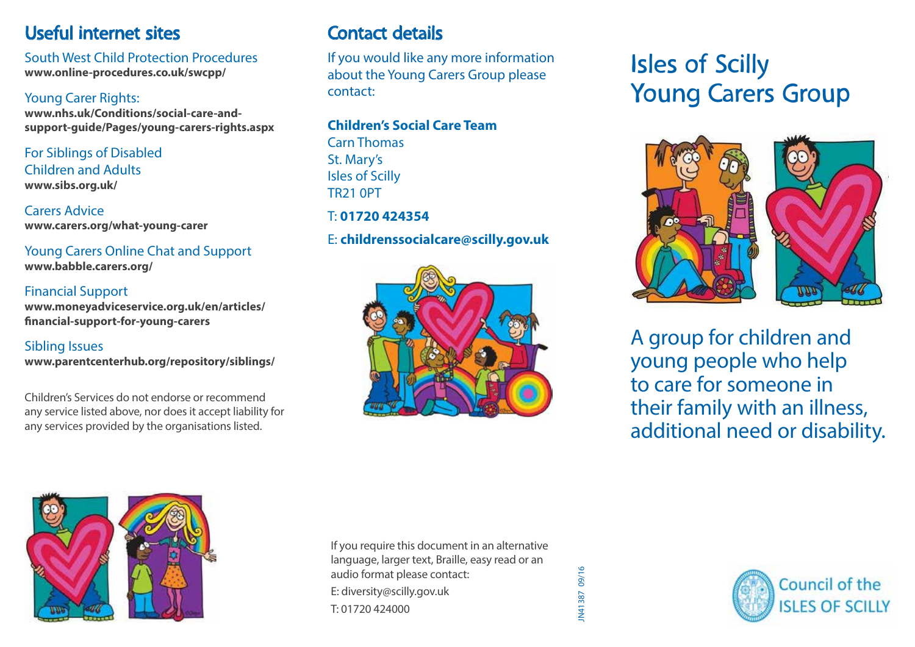# Useful internet sites

South West Child Protection Procedures **www.online-procedures.co.uk/swcpp/**

### Young Carer Rights:

**www.nhs.uk/Conditions/social-care-andsupport-guide/Pages/young-carers-rights.aspx**

For Siblings of Disabled Children and Adults **www.sibs.org.uk/**

Carers Advice **www.carers.org/what-young-carer**

Young Carers Online Chat and Support **www.babble.carers.org/**

#### Financial Support **www.moneyadviceservice.org.uk/en/articles/ financial-support-for-young-carers**

### Sibling Issues

**www.parentcenterhub.org/repository/siblings/**

Children's Services do not endorse or recommend any service listed above, nor does it accept liability for any services provided by the organisations listed.

# Contact details

If you would like any more information about the Young Carers Group please contact:

#### **Children's Social Care Team**

Carn Thomas St. Mary's Isles of Scilly TR21 0PT T: **01720 424354**

## E: **childrenssocialcare@scilly.gov.uk**



# Isles of Scilly Young Carers Group



A group for children and young people who help to care for someone in their family with an illness, additional need or disability.



If you require this document in an alternative language, larger text, Braille, easy read or an audio format please contact: E: diversity@scilly.gov.uk T: 01720 424000

IN41387 09/16 JN41387 09/16